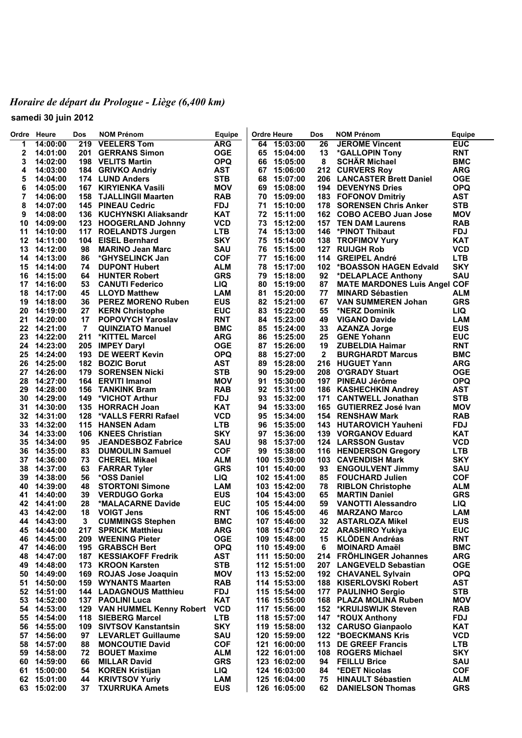## *Horaire de départ du Prologue - Liège (6,400 km)*

**samedi 30 juin 2012**

| Ordre    | Heure                | Dos       | <b>NOM Prénom</b>                                | <b>Equipe</b>            |          | <b>Ordre Heure</b>           | Dos          | <b>NOM Prénom</b>                                 | Equipe                   |
|----------|----------------------|-----------|--------------------------------------------------|--------------------------|----------|------------------------------|--------------|---------------------------------------------------|--------------------------|
| 1        | 14:00:00             | 219       | <b>VEELERS Tom</b>                               | <b>ARG</b>               |          | 64 15:03:00                  | 26           | <b>JEROME Vincent</b>                             | <b>EUC</b>               |
| 2        | 14:01:00             | 201       | <b>GERRANS Simon</b>                             | <b>OGE</b>               | 65       | 15:04:00                     | 13           | *GALLOPIN Tony                                    | <b>RNT</b>               |
| 3        | 14:02:00             |           | 198 VELITS Martin                                | <b>OPQ</b>               | 66       | 15:05:00                     | 8            | <b>SCHÄR Michael</b>                              | <b>BMC</b>               |
| 4        | 14:03:00             |           | 184 GRIVKO Andriy                                | <b>AST</b>               | 67       | 15:06:00                     |              | 212 CURVERS Roy                                   | <b>ARG</b>               |
| 5        | 14:04:00             |           | 174 LUND Anders                                  | <b>STB</b>               | 68       | 15:07:00                     |              | 206 LANCASTER Brett Daniel                        | <b>OGE</b>               |
| 6        | 14:05:00             | 167       | <b>KIRYIENKA Vasili</b>                          | <b>MOV</b>               | 69       | 15:08:00                     |              | <b>194 DEVENYNS Dries</b>                         | <b>OPQ</b>               |
| 7        | 14:06:00             | 158       | <b>TJALLINGII Maarten</b>                        | <b>RAB</b>               | 70       | 15:09:00                     |              | 183 FOFONOV Dmitriy                               | <b>AST</b>               |
| 8        | 14:07:00             |           | <b>145 PINEAU Cedric</b>                         | <b>FDJ</b>               | 71       | 15:10:00                     |              | 178 SORENSEN Chris Anker                          | <b>STB</b>               |
| 9        | 14:08:00             |           | 136 KUCHYNSKI Aliaksandr                         | <b>KAT</b>               | 72       | 15:11:00                     |              | 162 COBO ACEBO Juan Jose                          | <b>MOV</b>               |
| 10       | 14:09:00             | 123       | <b>HOOGERLAND Johnny</b>                         | <b>VCD</b>               | 73       | 15:12:00                     |              | <b>157 TEN DAM Laurens</b>                        | <b>RAB</b>               |
| 11       | 14:10:00             | 117       | <b>ROELANDTS Jurgen</b>                          | <b>LTB</b>               |          | 74 15:13:00                  |              | 146 *PINOT Thibaut                                | <b>FDJ</b>               |
| 12<br>13 | 14:11:00<br>14:12:00 | 104<br>98 | <b>EISEL Bernhard</b><br><b>MARINO Jean Marc</b> | <b>SKY</b><br>SAU        | 75<br>76 | 15:14:00<br>15:15:00         |              | 138 TROFIMOV Yury<br><b>127 RUIJGH Rob</b>        | <b>KAT</b><br><b>VCD</b> |
| 14       | 14:13:00             | 86        | *GHYSELINCK Jan                                  | <b>COF</b>               | 77       | 15:16:00                     |              | 114 GREIPEL André                                 | <b>LTB</b>               |
| 15       | 14:14:00             | 74        | <b>DUPONT Hubert</b>                             | <b>ALM</b>               | 78       | 15:17:00                     |              | 102 *BOASSON HAGEN Edvald                         | <b>SKY</b>               |
| 16       | 14:15:00             | 64        | <b>HUNTER Robert</b>                             | <b>GRS</b>               | 79       | 15:18:00                     | 92           | *DELAPLACE Anthony                                | SAU                      |
| 17       | 14:16:00             | 53        | <b>CANUTI Federico</b>                           | LIQ.                     | 80       | 15:19:00                     | 87           | <b>MATE MARDONES Luis Angel COF</b>               |                          |
| 18       | 14:17:00             | 45        | <b>LLOYD Matthew</b>                             | <b>LAM</b>               | 81       | 15:20:00                     | 77           | <b>MINARD Sébastien</b>                           | <b>ALM</b>               |
| 19       | 14:18:00             | 36        | <b>PEREZ MORENO Ruben</b>                        | <b>EUS</b>               |          | 82 15:21:00                  | 67           | <b>VAN SUMMEREN Johan</b>                         | <b>GRS</b>               |
| 20       | 14:19:00             | 27        | <b>KERN Christophe</b>                           | <b>EUC</b>               | 83       | 15:22:00                     | 55           | *NERZ Dominik                                     | <b>LIQ</b>               |
| 21       | 14:20:00             | 17        | POPOVYCH Yaroslav                                | <b>RNT</b>               |          | 84 15:23:00                  | 49           | <b>VIGANO Davide</b>                              | <b>LAM</b>               |
|          | 22 14:21:00          | 7         | <b>QUINZIATO Manuel</b>                          | <b>BMC</b>               | 85       | 15:24:00                     | 33           | <b>AZANZA Jorge</b>                               | <b>EUS</b>               |
| 23       | 14:22:00             | 211       | *KITTEL Marcel                                   | <b>ARG</b>               | 86       | 15:25:00                     | 25           | <b>GENE Yohann</b>                                | <b>EUC</b>               |
| 24       | 14:23:00             |           | 205 IMPEY Daryl                                  | <b>OGE</b>               | 87       | 15:26:00                     | 19           | <b>ZUBELDIA Haimar</b>                            | <b>RNT</b>               |
| 25       | 14:24:00             | 193       | <b>DE WEERT Kevin</b>                            | <b>OPQ</b>               | 88       | 15:27:00                     | $\mathbf{2}$ | <b>BURGHARDT Marcus</b>                           | <b>BMC</b>               |
| 26       | 14:25:00             | 182       | <b>BOZIC Borut</b>                               | <b>AST</b>               | 89       | 15:28:00                     |              | 216 HUGUET Yann                                   | <b>ARG</b>               |
| 27       | 14:26:00             | 179       | <b>SORENSEN Nicki</b>                            | <b>STB</b>               | 90       | 15:29:00                     |              | 208 O'GRADY Stuart                                | <b>OGE</b>               |
| 28       | 14:27:00             |           | 164 ERVITI Imanol                                | <b>MOV</b>               | 91       | 15:30:00                     |              | 197 PINEAU Jérôme                                 | <b>OPQ</b>               |
| 29       | 14:28:00             | 156       | <b>TANKINK Bram</b>                              | <b>RAB</b>               | 92       | 15:31:00                     |              | 186 KASHECHKIN Andrey                             | <b>AST</b>               |
| 30       | 14:29:00             | 149       | *VICHOT Arthur                                   | <b>FDJ</b>               | 93       | 15:32:00                     |              | 171 CANTWELL Jonathan                             | <b>STB</b>               |
| 31       | 14:30:00             | 135       | <b>HORRACH Joan</b>                              | <b>KAT</b>               | 94       | 15:33:00                     |              | 165 GUTIERREZ José Ivan                           | <b>MOV</b>               |
| 32       | 14:31:00             | 128       | *VALLS FERRI Rafael                              | <b>VCD</b>               | 95       | 15:34:00                     |              | 154 RENSHAW Mark                                  | <b>RAB</b>               |
| 33       | 14:32:00             | 115       | <b>HANSEN Adam</b>                               | <b>LTB</b>               | 96       | 15:35:00                     |              | 143 HUTAROVICH Yauheni                            | <b>FDJ</b>               |
| 34       | 14:33:00             | 106       | <b>KNEES Christian</b>                           | <b>SKY</b>               | 97       | 15:36:00                     |              | 139 VORGANOV Eduard                               | <b>KAT</b>               |
| 35       | 14:34:00             | 95        | <b>JEANDESBOZ Fabrice</b>                        | <b>SAU</b>               | 98       | 15:37:00                     |              | <b>124 LARSSON Gustav</b>                         | <b>VCD</b>               |
| 36       | 14:35:00             | 83        | <b>DUMOULIN Samuel</b>                           | <b>COF</b>               | 99       | 15:38:00                     |              | 116 HENDERSON Gregory                             | <b>LTB</b>               |
| 37       | 14:36:00             | 73        | <b>CHEREL Mikael</b>                             | <b>ALM</b>               |          | 100 15:39:00                 |              | 103 CAVENDISH Mark                                | <b>SKY</b>               |
| 38       | 14:37:00             | 63        | <b>FARRAR Tyler</b>                              | <b>GRS</b>               |          | 101 15:40:00                 | 93           | <b>ENGOULVENT Jimmy</b>                           | <b>SAU</b>               |
| 39       | 14:38:00             | 56        | *OSS Daniel                                      | LIQ                      |          | 102 15:41:00                 | 85           | <b>FOUCHARD Julien</b>                            | <b>COF</b>               |
| 40       | 14:39:00             | 48        | <b>STORTONI Simone</b>                           | <b>LAM</b>               |          | 103 15:42:00                 | 78           | <b>RIBLON Christophe</b>                          | <b>ALM</b>               |
| 41       | 14:40:00             | 39        | <b>VERDUGO Gorka</b>                             | <b>EUS</b>               |          | 104 15:43:00                 | 65           | <b>MARTIN Daniel</b>                              | <b>GRS</b>               |
| 42<br>43 | 14:41:00<br>14:42:00 | 28<br>18  | *MALACARNE Davide<br><b>VOIGT Jens</b>           | <b>EUC</b><br><b>RNT</b> |          | 105 15:44:00<br>106 15:45:00 | 59<br>46     | <b>VANOTTI Alessandro</b><br><b>MARZANO Marco</b> | <b>LIQ</b><br><b>LAM</b> |
| 44       | 14:43:00             | 3         | <b>CUMMINGS Stephen</b>                          | <b>BMC</b>               |          | 107 15:46:00                 | 32           | <b>ASTARLOZA Mikel</b>                            | <b>EUS</b>               |
| 45       | 14:44:00             | 217       | <b>SPRICK Matthieu</b>                           | <b>ARG</b>               |          | 108 15:47:00                 | 22           | <b>ARASHIRO Yukiya</b>                            | <b>EUC</b>               |
| 46       | 14:45:00             | 209       | <b>WEENING Pieter</b>                            | <b>OGE</b>               |          | 109 15:48:00                 | 15           | <b>KLÖDEN Andréas</b>                             | <b>RNT</b>               |
| 47       | 14:46:00             |           | 195 GRABSCH Bert                                 | <b>OPQ</b>               |          | 110 15:49:00                 | 6            | <b>MOINARD Amaël</b>                              | <b>BMC</b>               |
| 48       | 14:47:00             | 187       | <b>KESSIAKOFF Fredrik</b>                        | <b>AST</b>               |          | 111 15:50:00                 | 214          | <b>FRÖHLINGER Johannes</b>                        | <b>ARG</b>               |
| 49       | 14:48:00             | 173       | <b>KROON Karsten</b>                             | <b>STB</b>               |          | 112 15:51:00                 |              | 207 LANGEVELD Sebastian                           | <b>OGE</b>               |
| 50       | 14:49:00             | 169       | <b>ROJAS Jose Joaquin</b>                        | <b>MOV</b>               |          | 113 15:52:00                 |              | 192 CHAVANEL Sylvain                              | <b>OPQ</b>               |
| 51       | 14:50:00             | 159       | <b>WYNANTS Maarten</b>                           | <b>RAB</b>               |          | 114 15:53:00                 |              | 188 KISERLOVSKI Robert                            | <b>AST</b>               |
| 52       | 14:51:00             |           | <b>144 LADAGNOUS Matthieu</b>                    | <b>FDJ</b>               |          | 115 15:54:00                 |              | 177 PAULINHO Sergio                               | <b>STB</b>               |
| 53       | 14:52:00             |           | 137 PAOLINI Luca                                 | <b>KAT</b>               |          | 116 15:55:00                 |              | 168 PLAZA MOLINA Ruben                            | <b>MOV</b>               |
| 54       | 14:53:00             |           | 129 VAN HUMMEL Kenny Robert                      | <b>VCD</b>               |          | 117 15:56:00                 |              | 152 *KRUIJSWIJK Steven                            | <b>RAB</b>               |
| 55       | 14:54:00             | 118       | <b>SIEBERG Marcel</b>                            | <b>LTB</b>               |          | 118 15:57:00                 |              | 147 *ROUX Anthony                                 | <b>FDJ</b>               |
| 56       | 14:55:00             | 109       | <b>SIVTSOV Kanstantsin</b>                       | <b>SKY</b>               |          | 119 15:58:00                 |              | 132 CARUSO Gianpaolo                              | <b>KAT</b>               |
| 57       | 14:56:00             | 97        | <b>LEVARLET Guillaume</b>                        | SAU                      |          | 120 15:59:00                 |              | 122 *BOECKMANS Kris                               | <b>VCD</b>               |
| 58       | 14:57:00             | 88        | <b>MONCOUTIE David</b>                           | <b>COF</b>               |          | 121 16:00:00                 |              | 113 DE GREEF Francis                              | <b>LTB</b>               |
| 59       | 14:58:00             | 72        | <b>BOUET Maxime</b>                              | <b>ALM</b>               |          | 122 16:01:00                 | 108          | <b>ROGERS Michael</b>                             | <b>SKY</b>               |
| 60       | 14:59:00             | 66        | <b>MILLAR David</b>                              | <b>GRS</b>               |          | 123 16:02:00                 | 94           | <b>FEILLU Brice</b>                               | SAU                      |
| 61       | 15:00:00             | 54        | <b>KOREN Kristijan</b>                           | LIQ                      |          | 124 16:03:00                 | 84           | *EDET Nicolas                                     | <b>COF</b>               |
| 62       | 15:01:00             | 44        | <b>KRIVTSOV Yuriy</b>                            | LAM                      |          | 125 16:04:00                 | 75           | <b>HINAULT Sébastien</b>                          | <b>ALM</b>               |
|          | 63 15:02:00          | 37        | <b>TXURRUKA Amets</b>                            | <b>EUS</b>               |          | 126 16:05:00                 | 62           | <b>DANIELSON Thomas</b>                           | <b>GRS</b>               |